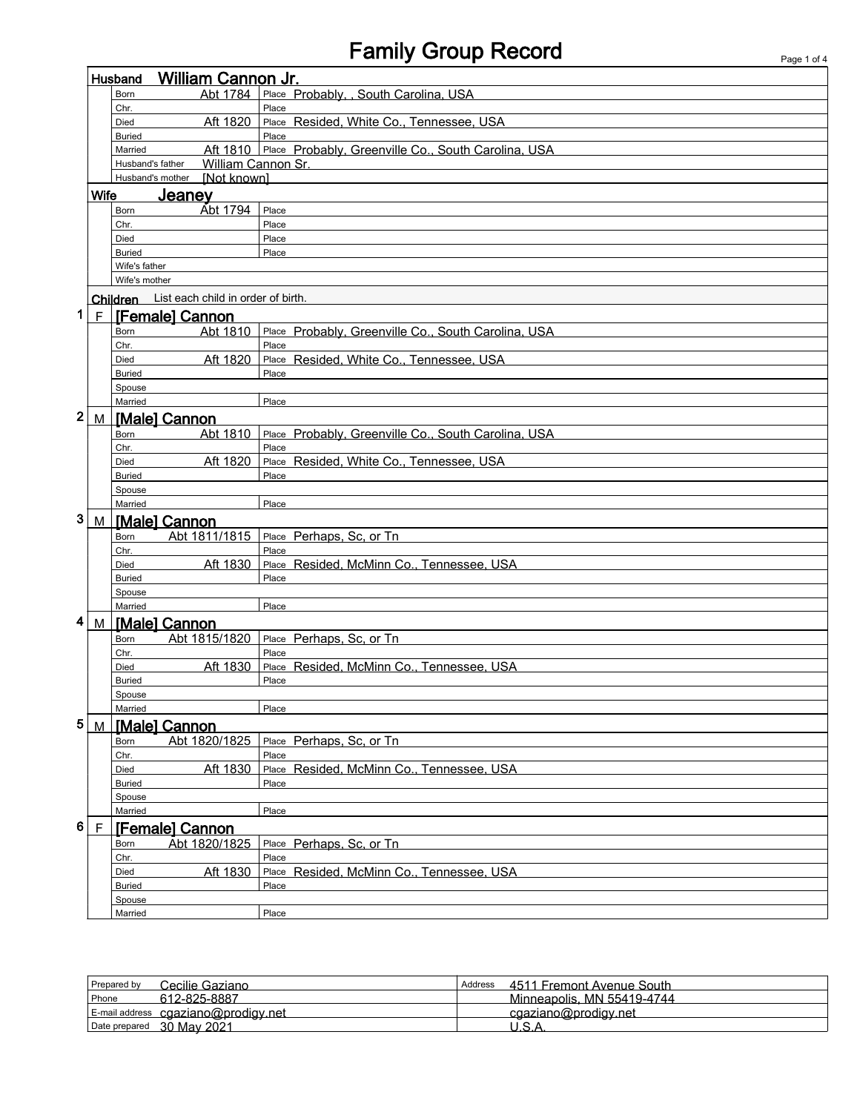## Family Group Record **Page 1 of 4** Page 1 of 4

|   |             | <b>William Cannon Jr.</b><br>Husband        |                                                              |  |  |  |  |
|---|-------------|---------------------------------------------|--------------------------------------------------------------|--|--|--|--|
|   |             | Abt 1784<br>Born                            | Place Probably, , South Carolina, USA                        |  |  |  |  |
|   |             | Chr.                                        | Place                                                        |  |  |  |  |
|   |             | Aft 1820<br>Died                            | Place Resided, White Co., Tennessee, USA                     |  |  |  |  |
|   |             | <b>Buried</b>                               | Place                                                        |  |  |  |  |
|   |             | Married                                     | Aft 1810 Place Probably, Greenville Co., South Carolina, USA |  |  |  |  |
|   |             | William Cannon Sr.<br>Husband's father      |                                                              |  |  |  |  |
|   |             | Husband's mother [Not known]                |                                                              |  |  |  |  |
|   | <b>Wife</b> | <b>Jeaney</b>                               |                                                              |  |  |  |  |
|   |             | Abt 1794<br>Born                            | Place                                                        |  |  |  |  |
|   |             | Chr.                                        | Place                                                        |  |  |  |  |
|   |             | Died                                        | Place                                                        |  |  |  |  |
|   |             | <b>Buried</b>                               | Place                                                        |  |  |  |  |
|   |             | Wife's father                               |                                                              |  |  |  |  |
|   |             | Wife's mother                               |                                                              |  |  |  |  |
|   |             |                                             |                                                              |  |  |  |  |
|   |             | Children List each child in order of birth. |                                                              |  |  |  |  |
| 1 | F           | <b>[Female] Cannon</b>                      |                                                              |  |  |  |  |
|   |             | Born                                        | Abt 1810 Place Probably, Greenville Co., South Carolina, USA |  |  |  |  |
|   |             | Chr.                                        | Place                                                        |  |  |  |  |
|   |             | Aft 1820<br>Died                            | Place Resided, White Co., Tennessee, USA                     |  |  |  |  |
|   |             | <b>Buried</b>                               | Place                                                        |  |  |  |  |
|   |             | Spouse                                      |                                                              |  |  |  |  |
|   |             | Married                                     | Place                                                        |  |  |  |  |
| 2 |             | M   [Male] Cannon                           |                                                              |  |  |  |  |
|   |             | Abt 1810<br>Born                            | Place Probably, Greenville Co., South Carolina, USA          |  |  |  |  |
|   |             | Chr.                                        | Place                                                        |  |  |  |  |
|   |             | Aft 1820<br>Died                            | Place Resided, White Co., Tennessee, USA                     |  |  |  |  |
|   |             | <b>Buried</b>                               | Place                                                        |  |  |  |  |
|   |             | Spouse                                      |                                                              |  |  |  |  |
|   |             | Married                                     | Place                                                        |  |  |  |  |
| 3 |             | M   [Male] Cannon                           |                                                              |  |  |  |  |
|   |             | Abt 1811/1815<br>Born                       | Place Perhaps, Sc, or Tn                                     |  |  |  |  |
|   |             | Chr.                                        | Place                                                        |  |  |  |  |
|   |             | Aft 1830<br>Died                            | Place Resided, McMinn Co., Tennessee, USA                    |  |  |  |  |
|   |             | <b>Buried</b>                               | Place                                                        |  |  |  |  |
|   |             | Spouse                                      |                                                              |  |  |  |  |
|   |             | Married                                     | Place                                                        |  |  |  |  |
| 4 |             |                                             |                                                              |  |  |  |  |
|   |             | M   [Male] Cannon                           |                                                              |  |  |  |  |
|   |             | Abt 1815/1820<br>Born                       | Place Perhaps, Sc, or Tn                                     |  |  |  |  |
|   |             | Chr.                                        | Place                                                        |  |  |  |  |
|   |             | Aft 1830<br>Died                            | Place Resided, McMinn Co., Tennessee, USA                    |  |  |  |  |
|   |             | <b>Buried</b>                               | Place                                                        |  |  |  |  |
|   |             | Spouse                                      |                                                              |  |  |  |  |
|   |             | Married                                     | Place                                                        |  |  |  |  |
| 5 |             | M   [Male] Cannon                           |                                                              |  |  |  |  |
|   |             | Abt 1820/1825<br>Born                       | Place Perhaps, Sc, or Tn                                     |  |  |  |  |
|   |             | Chr.                                        | Place                                                        |  |  |  |  |
|   |             | Aft 1830<br>Died                            | Place Resided, McMinn Co., Tennessee, USA                    |  |  |  |  |
|   |             | <b>Buried</b>                               | Place                                                        |  |  |  |  |
|   |             | Spouse                                      |                                                              |  |  |  |  |
|   |             | Married                                     | Place                                                        |  |  |  |  |
| 6 | F           | <b>IFemalel Cannon</b>                      |                                                              |  |  |  |  |
|   |             | Abt 1820/1825<br>Born                       | Place Perhaps, Sc, or Tn                                     |  |  |  |  |
|   |             | Chr.                                        | Place                                                        |  |  |  |  |
|   |             | Aft 1830<br>Died                            | Place Resided, McMinn Co., Tennessee, USA                    |  |  |  |  |
|   |             | <b>Buried</b>                               | Place                                                        |  |  |  |  |
|   |             | Spouse                                      |                                                              |  |  |  |  |
|   |             | Married                                     | Place                                                        |  |  |  |  |

| Prepared by<br>Cecilie Gaziano      | Address | 4511 Fremont Avenue South  |
|-------------------------------------|---------|----------------------------|
| Phone<br>612-825-8887               |         | Minneapolis, MN 55419-4744 |
| E-mail address cgaziano@prodigy.net |         | cgaziano@prodigy.net       |
| Date prepared 30 May 2021           |         |                            |
|                                     |         |                            |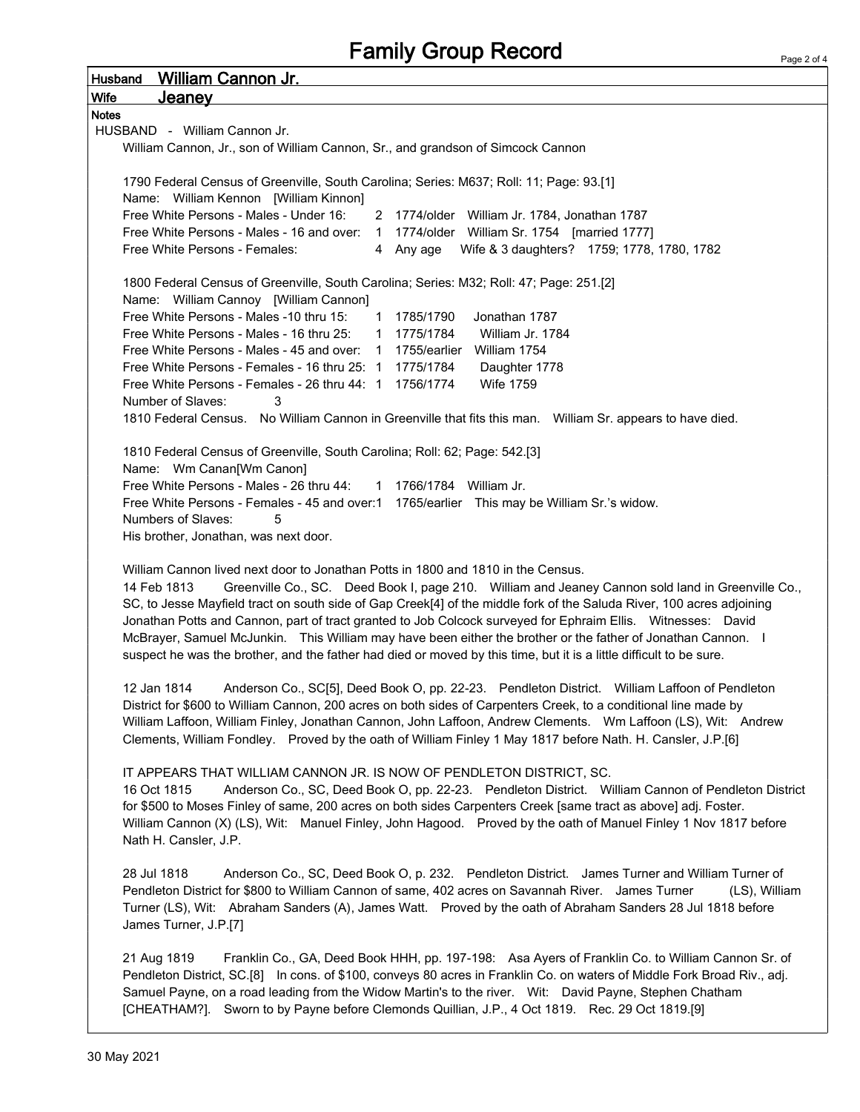| <b>Wife</b><br><u>Jeaney</u><br><b>Notes</b><br>HUSBAND - William Cannon Jr.<br>William Cannon, Jr., son of William Cannon, Sr., and grandson of Simcock Cannon<br>1790 Federal Census of Greenville, South Carolina; Series: M637; Roll: 11; Page: 93.[1]<br>Name: William Kennon [William Kinnon]<br>Free White Persons - Males - Under 16:<br>2 1774/older William Jr. 1784, Jonathan 1787<br>Free White Persons - Males - 16 and over: 1 1774/older William Sr. 1754 [married 1777]<br>Free White Persons - Females:<br>Wife & 3 daughters? 1759; 1778, 1780, 1782<br>4 Any age<br>1800 Federal Census of Greenville, South Carolina; Series: M32; Roll: 47; Page: 251.[2]<br>Name: William Cannoy [William Cannon]<br>Free White Persons - Males -10 thru 15:<br>1785/1790<br>Jonathan 1787<br>1<br>Free White Persons - Males - 16 thru 25:<br>1 1775/1784<br>William Jr. 1784<br>Free White Persons - Males - 45 and over: 1 1755/earlier William 1754<br>Free White Persons - Females - 16 thru 25: 1 1775/1784<br>Daughter 1778<br>Free White Persons - Females - 26 thru 44: 1 1756/1774<br>Wife 1759<br>Number of Slaves:<br>3 |
|-------------------------------------------------------------------------------------------------------------------------------------------------------------------------------------------------------------------------------------------------------------------------------------------------------------------------------------------------------------------------------------------------------------------------------------------------------------------------------------------------------------------------------------------------------------------------------------------------------------------------------------------------------------------------------------------------------------------------------------------------------------------------------------------------------------------------------------------------------------------------------------------------------------------------------------------------------------------------------------------------------------------------------------------------------------------------------------------------------------------------------------------|
|                                                                                                                                                                                                                                                                                                                                                                                                                                                                                                                                                                                                                                                                                                                                                                                                                                                                                                                                                                                                                                                                                                                                           |
|                                                                                                                                                                                                                                                                                                                                                                                                                                                                                                                                                                                                                                                                                                                                                                                                                                                                                                                                                                                                                                                                                                                                           |
|                                                                                                                                                                                                                                                                                                                                                                                                                                                                                                                                                                                                                                                                                                                                                                                                                                                                                                                                                                                                                                                                                                                                           |
|                                                                                                                                                                                                                                                                                                                                                                                                                                                                                                                                                                                                                                                                                                                                                                                                                                                                                                                                                                                                                                                                                                                                           |
|                                                                                                                                                                                                                                                                                                                                                                                                                                                                                                                                                                                                                                                                                                                                                                                                                                                                                                                                                                                                                                                                                                                                           |
|                                                                                                                                                                                                                                                                                                                                                                                                                                                                                                                                                                                                                                                                                                                                                                                                                                                                                                                                                                                                                                                                                                                                           |
|                                                                                                                                                                                                                                                                                                                                                                                                                                                                                                                                                                                                                                                                                                                                                                                                                                                                                                                                                                                                                                                                                                                                           |
|                                                                                                                                                                                                                                                                                                                                                                                                                                                                                                                                                                                                                                                                                                                                                                                                                                                                                                                                                                                                                                                                                                                                           |
|                                                                                                                                                                                                                                                                                                                                                                                                                                                                                                                                                                                                                                                                                                                                                                                                                                                                                                                                                                                                                                                                                                                                           |
|                                                                                                                                                                                                                                                                                                                                                                                                                                                                                                                                                                                                                                                                                                                                                                                                                                                                                                                                                                                                                                                                                                                                           |
|                                                                                                                                                                                                                                                                                                                                                                                                                                                                                                                                                                                                                                                                                                                                                                                                                                                                                                                                                                                                                                                                                                                                           |
|                                                                                                                                                                                                                                                                                                                                                                                                                                                                                                                                                                                                                                                                                                                                                                                                                                                                                                                                                                                                                                                                                                                                           |
|                                                                                                                                                                                                                                                                                                                                                                                                                                                                                                                                                                                                                                                                                                                                                                                                                                                                                                                                                                                                                                                                                                                                           |
|                                                                                                                                                                                                                                                                                                                                                                                                                                                                                                                                                                                                                                                                                                                                                                                                                                                                                                                                                                                                                                                                                                                                           |
|                                                                                                                                                                                                                                                                                                                                                                                                                                                                                                                                                                                                                                                                                                                                                                                                                                                                                                                                                                                                                                                                                                                                           |
|                                                                                                                                                                                                                                                                                                                                                                                                                                                                                                                                                                                                                                                                                                                                                                                                                                                                                                                                                                                                                                                                                                                                           |
|                                                                                                                                                                                                                                                                                                                                                                                                                                                                                                                                                                                                                                                                                                                                                                                                                                                                                                                                                                                                                                                                                                                                           |
|                                                                                                                                                                                                                                                                                                                                                                                                                                                                                                                                                                                                                                                                                                                                                                                                                                                                                                                                                                                                                                                                                                                                           |
|                                                                                                                                                                                                                                                                                                                                                                                                                                                                                                                                                                                                                                                                                                                                                                                                                                                                                                                                                                                                                                                                                                                                           |
| 1810 Federal Census. No William Cannon in Greenville that fits this man. William Sr. appears to have died.                                                                                                                                                                                                                                                                                                                                                                                                                                                                                                                                                                                                                                                                                                                                                                                                                                                                                                                                                                                                                                |
|                                                                                                                                                                                                                                                                                                                                                                                                                                                                                                                                                                                                                                                                                                                                                                                                                                                                                                                                                                                                                                                                                                                                           |
| 1810 Federal Census of Greenville, South Carolina; Roll: 62; Page: 542.[3]                                                                                                                                                                                                                                                                                                                                                                                                                                                                                                                                                                                                                                                                                                                                                                                                                                                                                                                                                                                                                                                                |
| Name: Wm Canan[Wm Canon]                                                                                                                                                                                                                                                                                                                                                                                                                                                                                                                                                                                                                                                                                                                                                                                                                                                                                                                                                                                                                                                                                                                  |
| Free White Persons - Males - 26 thru 44:<br>1 1766/1784 William Jr.                                                                                                                                                                                                                                                                                                                                                                                                                                                                                                                                                                                                                                                                                                                                                                                                                                                                                                                                                                                                                                                                       |
| Free White Persons - Females - 45 and over:1 1765/earlier This may be William Sr.'s widow.                                                                                                                                                                                                                                                                                                                                                                                                                                                                                                                                                                                                                                                                                                                                                                                                                                                                                                                                                                                                                                                |
| Numbers of Slaves:<br>5                                                                                                                                                                                                                                                                                                                                                                                                                                                                                                                                                                                                                                                                                                                                                                                                                                                                                                                                                                                                                                                                                                                   |
| His brother, Jonathan, was next door.                                                                                                                                                                                                                                                                                                                                                                                                                                                                                                                                                                                                                                                                                                                                                                                                                                                                                                                                                                                                                                                                                                     |
|                                                                                                                                                                                                                                                                                                                                                                                                                                                                                                                                                                                                                                                                                                                                                                                                                                                                                                                                                                                                                                                                                                                                           |
| William Cannon lived next door to Jonathan Potts in 1800 and 1810 in the Census.                                                                                                                                                                                                                                                                                                                                                                                                                                                                                                                                                                                                                                                                                                                                                                                                                                                                                                                                                                                                                                                          |
| 14 Feb 1813<br>Greenville Co., SC. Deed Book I, page 210. William and Jeaney Cannon sold land in Greenville Co.,                                                                                                                                                                                                                                                                                                                                                                                                                                                                                                                                                                                                                                                                                                                                                                                                                                                                                                                                                                                                                          |
| SC, to Jesse Mayfield tract on south side of Gap Creek[4] of the middle fork of the Saluda River, 100 acres adjoining                                                                                                                                                                                                                                                                                                                                                                                                                                                                                                                                                                                                                                                                                                                                                                                                                                                                                                                                                                                                                     |
| Jonathan Potts and Cannon, part of tract granted to Job Colcock surveyed for Ephraim Ellis.  Witnesses: David                                                                                                                                                                                                                                                                                                                                                                                                                                                                                                                                                                                                                                                                                                                                                                                                                                                                                                                                                                                                                             |
| McBrayer, Samuel McJunkin. This William may have been either the brother or the father of Jonathan Cannon. I                                                                                                                                                                                                                                                                                                                                                                                                                                                                                                                                                                                                                                                                                                                                                                                                                                                                                                                                                                                                                              |
| suspect he was the brother, and the father had died or moved by this time, but it is a little difficult to be sure.                                                                                                                                                                                                                                                                                                                                                                                                                                                                                                                                                                                                                                                                                                                                                                                                                                                                                                                                                                                                                       |
|                                                                                                                                                                                                                                                                                                                                                                                                                                                                                                                                                                                                                                                                                                                                                                                                                                                                                                                                                                                                                                                                                                                                           |
| 12 Jan 1814<br>Anderson Co., SC[5], Deed Book O, pp. 22-23. Pendleton District. William Laffoon of Pendleton                                                                                                                                                                                                                                                                                                                                                                                                                                                                                                                                                                                                                                                                                                                                                                                                                                                                                                                                                                                                                              |
| District for \$600 to William Cannon, 200 acres on both sides of Carpenters Creek, to a conditional line made by                                                                                                                                                                                                                                                                                                                                                                                                                                                                                                                                                                                                                                                                                                                                                                                                                                                                                                                                                                                                                          |
| William Laffoon, William Finley, Jonathan Cannon, John Laffoon, Andrew Clements. Wm Laffoon (LS), Wit: Andrew                                                                                                                                                                                                                                                                                                                                                                                                                                                                                                                                                                                                                                                                                                                                                                                                                                                                                                                                                                                                                             |
| Clements, William Fondley. Proved by the oath of William Finley 1 May 1817 before Nath. H. Cansler, J.P.[6]                                                                                                                                                                                                                                                                                                                                                                                                                                                                                                                                                                                                                                                                                                                                                                                                                                                                                                                                                                                                                               |
|                                                                                                                                                                                                                                                                                                                                                                                                                                                                                                                                                                                                                                                                                                                                                                                                                                                                                                                                                                                                                                                                                                                                           |
| IT APPEARS THAT WILLIAM CANNON JR. IS NOW OF PENDLETON DISTRICT, SC.                                                                                                                                                                                                                                                                                                                                                                                                                                                                                                                                                                                                                                                                                                                                                                                                                                                                                                                                                                                                                                                                      |
|                                                                                                                                                                                                                                                                                                                                                                                                                                                                                                                                                                                                                                                                                                                                                                                                                                                                                                                                                                                                                                                                                                                                           |
| 16 Oct 1815<br>Anderson Co., SC, Deed Book O, pp. 22-23. Pendleton District. William Cannon of Pendleton District                                                                                                                                                                                                                                                                                                                                                                                                                                                                                                                                                                                                                                                                                                                                                                                                                                                                                                                                                                                                                         |
| for \$500 to Moses Finley of same, 200 acres on both sides Carpenters Creek [same tract as above] adj. Foster.                                                                                                                                                                                                                                                                                                                                                                                                                                                                                                                                                                                                                                                                                                                                                                                                                                                                                                                                                                                                                            |
| William Cannon (X) (LS), Wit: Manuel Finley, John Hagood. Proved by the oath of Manuel Finley 1 Nov 1817 before                                                                                                                                                                                                                                                                                                                                                                                                                                                                                                                                                                                                                                                                                                                                                                                                                                                                                                                                                                                                                           |
| Nath H. Cansler, J.P.                                                                                                                                                                                                                                                                                                                                                                                                                                                                                                                                                                                                                                                                                                                                                                                                                                                                                                                                                                                                                                                                                                                     |
|                                                                                                                                                                                                                                                                                                                                                                                                                                                                                                                                                                                                                                                                                                                                                                                                                                                                                                                                                                                                                                                                                                                                           |
| 28 Jul 1818<br>Anderson Co., SC, Deed Book O, p. 232. Pendleton District. James Turner and William Turner of                                                                                                                                                                                                                                                                                                                                                                                                                                                                                                                                                                                                                                                                                                                                                                                                                                                                                                                                                                                                                              |
| Pendleton District for \$800 to William Cannon of same, 402 acres on Savannah River. James Turner<br>(LS), William                                                                                                                                                                                                                                                                                                                                                                                                                                                                                                                                                                                                                                                                                                                                                                                                                                                                                                                                                                                                                        |
| Turner (LS), Wit: Abraham Sanders (A), James Watt. Proved by the oath of Abraham Sanders 28 Jul 1818 before                                                                                                                                                                                                                                                                                                                                                                                                                                                                                                                                                                                                                                                                                                                                                                                                                                                                                                                                                                                                                               |
| James Turner, J.P.[7]                                                                                                                                                                                                                                                                                                                                                                                                                                                                                                                                                                                                                                                                                                                                                                                                                                                                                                                                                                                                                                                                                                                     |
|                                                                                                                                                                                                                                                                                                                                                                                                                                                                                                                                                                                                                                                                                                                                                                                                                                                                                                                                                                                                                                                                                                                                           |
| Franklin Co., GA, Deed Book HHH, pp. 197-198: Asa Ayers of Franklin Co. to William Cannon Sr. of<br>21 Aug 1819                                                                                                                                                                                                                                                                                                                                                                                                                                                                                                                                                                                                                                                                                                                                                                                                                                                                                                                                                                                                                           |
| Pendleton District, SC.[8] In cons. of \$100, conveys 80 acres in Franklin Co. on waters of Middle Fork Broad Riv., adj.                                                                                                                                                                                                                                                                                                                                                                                                                                                                                                                                                                                                                                                                                                                                                                                                                                                                                                                                                                                                                  |
| Samuel Payne, on a road leading from the Widow Martin's to the river. Wit: David Payne, Stephen Chatham                                                                                                                                                                                                                                                                                                                                                                                                                                                                                                                                                                                                                                                                                                                                                                                                                                                                                                                                                                                                                                   |
| [CHEATHAM?]. Sworn to by Payne before Clemonds Quillian, J.P., 4 Oct 1819. Rec. 29 Oct 1819.[9]                                                                                                                                                                                                                                                                                                                                                                                                                                                                                                                                                                                                                                                                                                                                                                                                                                                                                                                                                                                                                                           |
|                                                                                                                                                                                                                                                                                                                                                                                                                                                                                                                                                                                                                                                                                                                                                                                                                                                                                                                                                                                                                                                                                                                                           |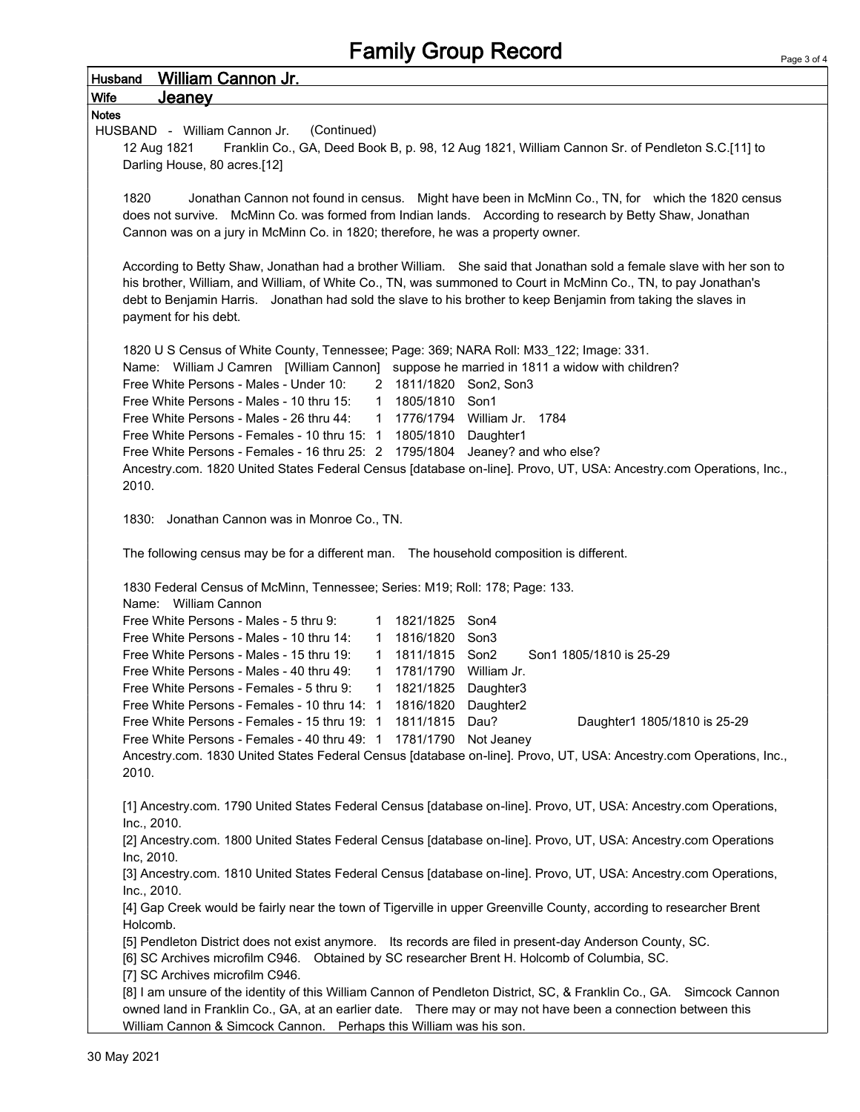| <b>William Cannon Jr.</b><br><b>Husband</b>                                                                                                                                                                                                                                                                                                                                       |  |  |  |  |  |  |
|-----------------------------------------------------------------------------------------------------------------------------------------------------------------------------------------------------------------------------------------------------------------------------------------------------------------------------------------------------------------------------------|--|--|--|--|--|--|
| <b>Wife</b><br>Jeaney                                                                                                                                                                                                                                                                                                                                                             |  |  |  |  |  |  |
| <b>Notes</b>                                                                                                                                                                                                                                                                                                                                                                      |  |  |  |  |  |  |
| HUSBAND - William Cannon Jr.<br>(Continued)                                                                                                                                                                                                                                                                                                                                       |  |  |  |  |  |  |
| Franklin Co., GA, Deed Book B, p. 98, 12 Aug 1821, William Cannon Sr. of Pendleton S.C.[11] to<br>12 Aug 1821                                                                                                                                                                                                                                                                     |  |  |  |  |  |  |
| Darling House, 80 acres.[12]                                                                                                                                                                                                                                                                                                                                                      |  |  |  |  |  |  |
| 1820<br>Jonathan Cannon not found in census. Might have been in McMinn Co., TN, for which the 1820 census<br>does not survive. McMinn Co. was formed from Indian lands. According to research by Betty Shaw, Jonathan<br>Cannon was on a jury in McMinn Co. in 1820; therefore, he was a property owner.                                                                          |  |  |  |  |  |  |
| According to Betty Shaw, Jonathan had a brother William. She said that Jonathan sold a female slave with her son to<br>his brother, William, and William, of White Co., TN, was summoned to Court in McMinn Co., TN, to pay Jonathan's<br>debt to Benjamin Harris. Jonathan had sold the slave to his brother to keep Benjamin from taking the slaves in<br>payment for his debt. |  |  |  |  |  |  |
| 1820 U S Census of White County, Tennessee; Page: 369; NARA Roll: M33_122; Image: 331.                                                                                                                                                                                                                                                                                            |  |  |  |  |  |  |
| Name: William J Camren [William Cannon] suppose he married in 1811 a widow with children?                                                                                                                                                                                                                                                                                         |  |  |  |  |  |  |
| Free White Persons - Males - Under 10:<br>2 1811/1820 Son2, Son3                                                                                                                                                                                                                                                                                                                  |  |  |  |  |  |  |
| Free White Persons - Males - 10 thru 15:<br>1 1805/1810 Son1                                                                                                                                                                                                                                                                                                                      |  |  |  |  |  |  |
| Free White Persons - Males - 26 thru 44:<br>1 1776/1794 William Jr. 1784                                                                                                                                                                                                                                                                                                          |  |  |  |  |  |  |
| Free White Persons - Females - 10 thru 15: 1 1805/1810 Daughter1                                                                                                                                                                                                                                                                                                                  |  |  |  |  |  |  |
| Free White Persons - Females - 16 thru 25: 2 1795/1804 Jeaney? and who else?                                                                                                                                                                                                                                                                                                      |  |  |  |  |  |  |
| Ancestry.com. 1820 United States Federal Census [database on-line]. Provo, UT, USA: Ancestry.com Operations, Inc.,<br>2010.                                                                                                                                                                                                                                                       |  |  |  |  |  |  |
| 1830: Jonathan Cannon was in Monroe Co., TN.                                                                                                                                                                                                                                                                                                                                      |  |  |  |  |  |  |
| The following census may be for a different man. The household composition is different.                                                                                                                                                                                                                                                                                          |  |  |  |  |  |  |
| 1830 Federal Census of McMinn, Tennessee; Series: M19; Roll: 178; Page: 133.                                                                                                                                                                                                                                                                                                      |  |  |  |  |  |  |
| Name: William Cannon                                                                                                                                                                                                                                                                                                                                                              |  |  |  |  |  |  |
| Free White Persons - Males - 5 thru 9:<br>1 1821/1825 Son4                                                                                                                                                                                                                                                                                                                        |  |  |  |  |  |  |
| Free White Persons - Males - 10 thru 14:<br>1 1816/1820 Son3                                                                                                                                                                                                                                                                                                                      |  |  |  |  |  |  |
| Free White Persons - Males - 15 thru 19:<br>1 1811/1815 Son2<br>Son1 1805/1810 is 25-29                                                                                                                                                                                                                                                                                           |  |  |  |  |  |  |
| 1781/1790 William Jr.<br>Free White Persons - Males - 40 thru 49:<br>$\mathbf{1}$                                                                                                                                                                                                                                                                                                 |  |  |  |  |  |  |
| Free White Persons - Females - 5 thru 9:<br>1821/1825<br>Daughter3<br>1                                                                                                                                                                                                                                                                                                           |  |  |  |  |  |  |
| Free White Persons - Females - 10 thru 14: 1 1816/1820 Daughter2                                                                                                                                                                                                                                                                                                                  |  |  |  |  |  |  |
| Free White Persons - Females - 15 thru 19: 1 1811/1815<br>Dau?<br>Daughter1 1805/1810 is 25-29                                                                                                                                                                                                                                                                                    |  |  |  |  |  |  |
| Free White Persons - Females - 40 thru 49: 1 1781/1790 Not Jeaney                                                                                                                                                                                                                                                                                                                 |  |  |  |  |  |  |
| Ancestry.com. 1830 United States Federal Census [database on-line]. Provo, UT, USA: Ancestry.com Operations, Inc.,<br>2010.                                                                                                                                                                                                                                                       |  |  |  |  |  |  |
| [1] Ancestry.com. 1790 United States Federal Census [database on-line]. Provo, UT, USA: Ancestry.com Operations,<br>Inc., 2010.                                                                                                                                                                                                                                                   |  |  |  |  |  |  |
| [2] Ancestry.com. 1800 United States Federal Census [database on-line]. Provo, UT, USA: Ancestry.com Operations<br>Inc, 2010.                                                                                                                                                                                                                                                     |  |  |  |  |  |  |
| [3] Ancestry.com. 1810 United States Federal Census [database on-line]. Provo, UT, USA: Ancestry.com Operations,<br>Inc., 2010.                                                                                                                                                                                                                                                   |  |  |  |  |  |  |
| [4] Gap Creek would be fairly near the town of Tigerville in upper Greenville County, according to researcher Brent<br>Holcomb.                                                                                                                                                                                                                                                   |  |  |  |  |  |  |
| [5] Pendleton District does not exist anymore. Its records are filed in present-day Anderson County, SC.                                                                                                                                                                                                                                                                          |  |  |  |  |  |  |
| [6] SC Archives microfilm C946. Obtained by SC researcher Brent H. Holcomb of Columbia, SC.                                                                                                                                                                                                                                                                                       |  |  |  |  |  |  |
| [7] SC Archives microfilm C946.                                                                                                                                                                                                                                                                                                                                                   |  |  |  |  |  |  |
| [8] I am unsure of the identity of this William Cannon of Pendleton District, SC, & Franklin Co., GA. Simcock Cannon<br>owned land in Franklin Co., GA, at an earlier date.  There may or may not have been a connection between this                                                                                                                                             |  |  |  |  |  |  |
| William Cannon & Simcock Cannon. Perhaps this William was his son.                                                                                                                                                                                                                                                                                                                |  |  |  |  |  |  |